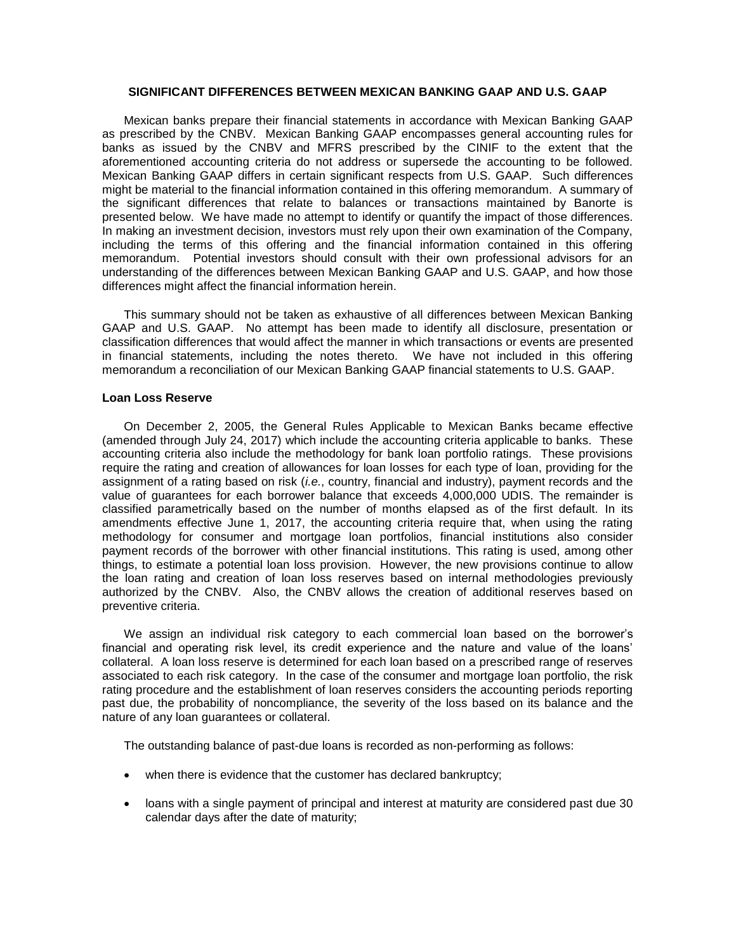### **SIGNIFICANT DIFFERENCES BETWEEN MEXICAN BANKING GAAP AND U.S. GAAP**

Mexican banks prepare their financial statements in accordance with Mexican Banking GAAP as prescribed by the CNBV. Mexican Banking GAAP encompasses general accounting rules for banks as issued by the CNBV and MFRS prescribed by the CINIF to the extent that the aforementioned accounting criteria do not address or supersede the accounting to be followed. Mexican Banking GAAP differs in certain significant respects from U.S. GAAP. Such differences might be material to the financial information contained in this offering memorandum. A summary of the significant differences that relate to balances or transactions maintained by Banorte is presented below. We have made no attempt to identify or quantify the impact of those differences. In making an investment decision, investors must rely upon their own examination of the Company, including the terms of this offering and the financial information contained in this offering memorandum. Potential investors should consult with their own professional advisors for an understanding of the differences between Mexican Banking GAAP and U.S. GAAP, and how those differences might affect the financial information herein.

This summary should not be taken as exhaustive of all differences between Mexican Banking GAAP and U.S. GAAP. No attempt has been made to identify all disclosure, presentation or classification differences that would affect the manner in which transactions or events are presented in financial statements, including the notes thereto. We have not included in this offering memorandum a reconciliation of our Mexican Banking GAAP financial statements to U.S. GAAP.

### **Loan Loss Reserve**

On December 2, 2005, the General Rules Applicable to Mexican Banks became effective (amended through July 24, 2017) which include the accounting criteria applicable to banks. These accounting criteria also include the methodology for bank loan portfolio ratings. These provisions require the rating and creation of allowances for loan losses for each type of loan, providing for the assignment of a rating based on risk (*i.e.*, country, financial and industry), payment records and the value of guarantees for each borrower balance that exceeds 4,000,000 UDIS. The remainder is classified parametrically based on the number of months elapsed as of the first default. In its amendments effective June 1, 2017, the accounting criteria require that, when using the rating methodology for consumer and mortgage loan portfolios, financial institutions also consider payment records of the borrower with other financial institutions. This rating is used, among other things, to estimate a potential loan loss provision. However, the new provisions continue to allow the loan rating and creation of loan loss reserves based on internal methodologies previously authorized by the CNBV. Also, the CNBV allows the creation of additional reserves based on preventive criteria.

We assign an individual risk category to each commercial loan based on the borrower's financial and operating risk level, its credit experience and the nature and value of the loans' collateral. A loan loss reserve is determined for each loan based on a prescribed range of reserves associated to each risk category. In the case of the consumer and mortgage loan portfolio, the risk rating procedure and the establishment of loan reserves considers the accounting periods reporting past due, the probability of noncompliance, the severity of the loss based on its balance and the nature of any loan guarantees or collateral.

The outstanding balance of past-due loans is recorded as non-performing as follows:

- when there is evidence that the customer has declared bankruptcy;
- loans with a single payment of principal and interest at maturity are considered past due 30 calendar days after the date of maturity;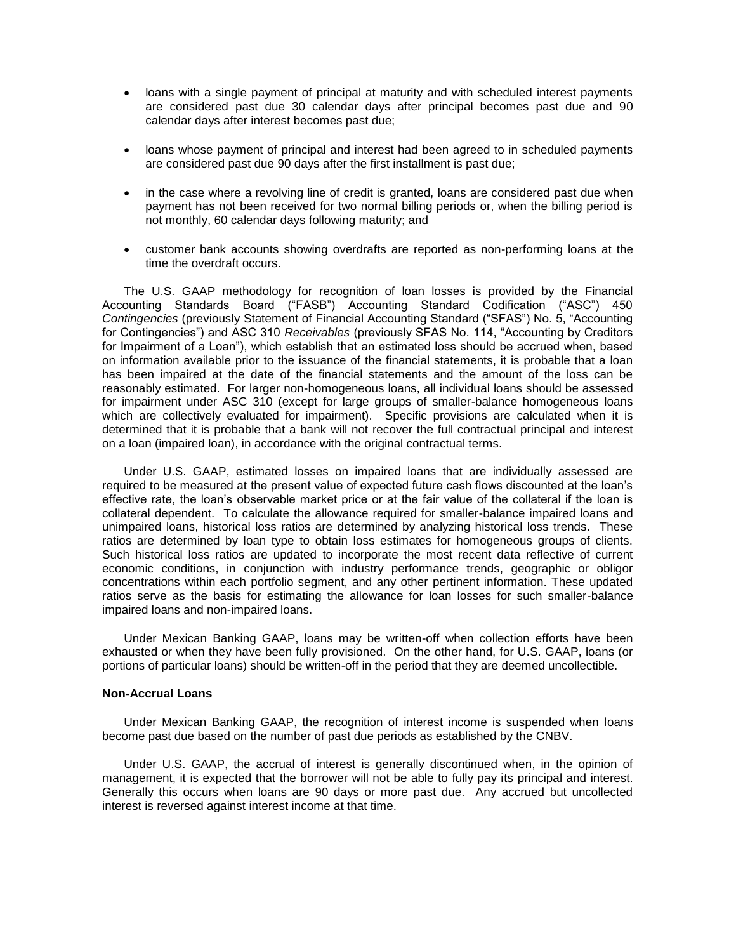- loans with a single payment of principal at maturity and with scheduled interest payments are considered past due 30 calendar days after principal becomes past due and 90 calendar days after interest becomes past due;
- loans whose payment of principal and interest had been agreed to in scheduled payments are considered past due 90 days after the first installment is past due;
- in the case where a revolving line of credit is granted, loans are considered past due when payment has not been received for two normal billing periods or, when the billing period is not monthly, 60 calendar days following maturity; and
- customer bank accounts showing overdrafts are reported as non-performing loans at the time the overdraft occurs.

The U.S. GAAP methodology for recognition of loan losses is provided by the Financial Accounting Standards Board ("FASB") Accounting Standard Codification ("ASC") 450 *Contingencies* (previously Statement of Financial Accounting Standard ("SFAS") No. 5, "Accounting for Contingencies") and ASC 310 *Receivables* (previously SFAS No. 114, "Accounting by Creditors for Impairment of a Loan"), which establish that an estimated loss should be accrued when, based on information available prior to the issuance of the financial statements, it is probable that a loan has been impaired at the date of the financial statements and the amount of the loss can be reasonably estimated. For larger non-homogeneous loans, all individual loans should be assessed for impairment under ASC 310 (except for large groups of smaller-balance homogeneous loans which are collectively evaluated for impairment). Specific provisions are calculated when it is determined that it is probable that a bank will not recover the full contractual principal and interest on a loan (impaired loan), in accordance with the original contractual terms.

Under U.S. GAAP, estimated losses on impaired loans that are individually assessed are required to be measured at the present value of expected future cash flows discounted at the loan's effective rate, the loan's observable market price or at the fair value of the collateral if the loan is collateral dependent. To calculate the allowance required for smaller-balance impaired loans and unimpaired loans, historical loss ratios are determined by analyzing historical loss trends. These ratios are determined by loan type to obtain loss estimates for homogeneous groups of clients. Such historical loss ratios are updated to incorporate the most recent data reflective of current economic conditions, in conjunction with industry performance trends, geographic or obligor concentrations within each portfolio segment, and any other pertinent information. These updated ratios serve as the basis for estimating the allowance for loan losses for such smaller-balance impaired loans and non-impaired loans.

Under Mexican Banking GAAP, loans may be written-off when collection efforts have been exhausted or when they have been fully provisioned. On the other hand, for U.S. GAAP, loans (or portions of particular loans) should be written-off in the period that they are deemed uncollectible.

# **Non-Accrual Loans**

Under Mexican Banking GAAP, the recognition of interest income is suspended when loans become past due based on the number of past due periods as established by the CNBV.

Under U.S. GAAP, the accrual of interest is generally discontinued when, in the opinion of management, it is expected that the borrower will not be able to fully pay its principal and interest. Generally this occurs when loans are 90 days or more past due. Any accrued but uncollected interest is reversed against interest income at that time.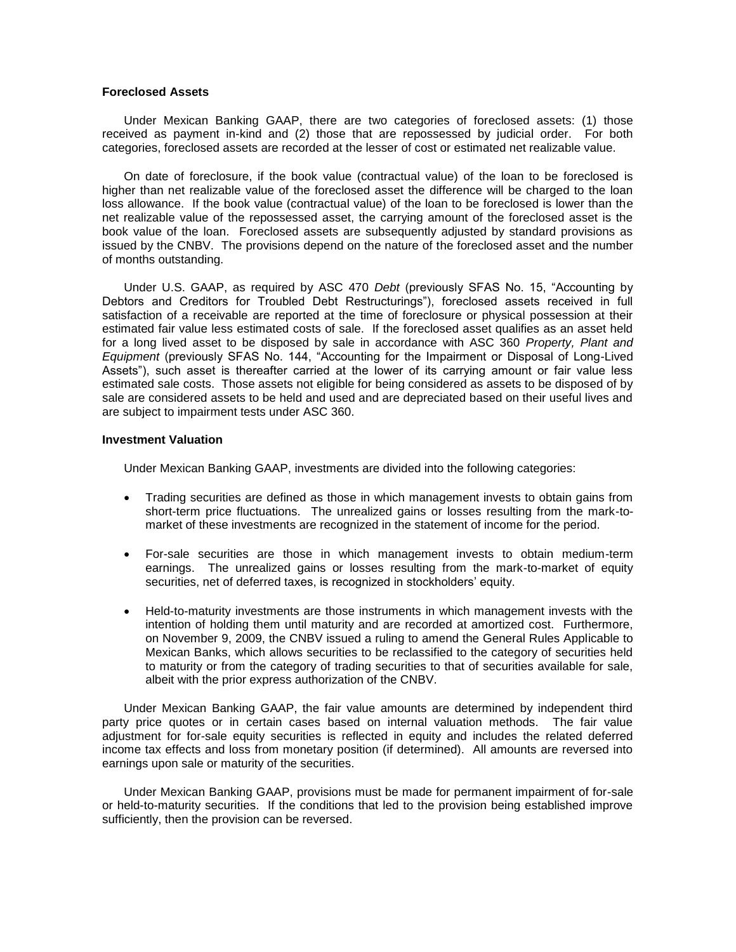### **Foreclosed Assets**

Under Mexican Banking GAAP, there are two categories of foreclosed assets: (1) those received as payment in-kind and (2) those that are repossessed by judicial order. For both categories, foreclosed assets are recorded at the lesser of cost or estimated net realizable value.

On date of foreclosure, if the book value (contractual value) of the loan to be foreclosed is higher than net realizable value of the foreclosed asset the difference will be charged to the loan loss allowance. If the book value (contractual value) of the loan to be foreclosed is lower than the net realizable value of the repossessed asset, the carrying amount of the foreclosed asset is the book value of the loan. Foreclosed assets are subsequently adjusted by standard provisions as issued by the CNBV. The provisions depend on the nature of the foreclosed asset and the number of months outstanding.

Under U.S. GAAP, as required by ASC 470 *Debt* (previously SFAS No. 15, "Accounting by Debtors and Creditors for Troubled Debt Restructurings"), foreclosed assets received in full satisfaction of a receivable are reported at the time of foreclosure or physical possession at their estimated fair value less estimated costs of sale. If the foreclosed asset qualifies as an asset held for a long lived asset to be disposed by sale in accordance with ASC 360 *Property, Plant and Equipment* (previously SFAS No. 144, "Accounting for the Impairment or Disposal of Long-Lived Assets"), such asset is thereafter carried at the lower of its carrying amount or fair value less estimated sale costs. Those assets not eligible for being considered as assets to be disposed of by sale are considered assets to be held and used and are depreciated based on their useful lives and are subject to impairment tests under ASC 360.

### **Investment Valuation**

Under Mexican Banking GAAP, investments are divided into the following categories:

- Trading securities are defined as those in which management invests to obtain gains from short-term price fluctuations. The unrealized gains or losses resulting from the mark-tomarket of these investments are recognized in the statement of income for the period.
- For-sale securities are those in which management invests to obtain medium-term earnings. The unrealized gains or losses resulting from the mark-to-market of equity securities, net of deferred taxes, is recognized in stockholders' equity.
- Held-to-maturity investments are those instruments in which management invests with the intention of holding them until maturity and are recorded at amortized cost. Furthermore, on November 9, 2009, the CNBV issued a ruling to amend the General Rules Applicable to Mexican Banks, which allows securities to be reclassified to the category of securities held to maturity or from the category of trading securities to that of securities available for sale, albeit with the prior express authorization of the CNBV.

Under Mexican Banking GAAP, the fair value amounts are determined by independent third party price quotes or in certain cases based on internal valuation methods. The fair value adjustment for for-sale equity securities is reflected in equity and includes the related deferred income tax effects and loss from monetary position (if determined). All amounts are reversed into earnings upon sale or maturity of the securities.

Under Mexican Banking GAAP, provisions must be made for permanent impairment of for-sale or held-to-maturity securities. If the conditions that led to the provision being established improve sufficiently, then the provision can be reversed.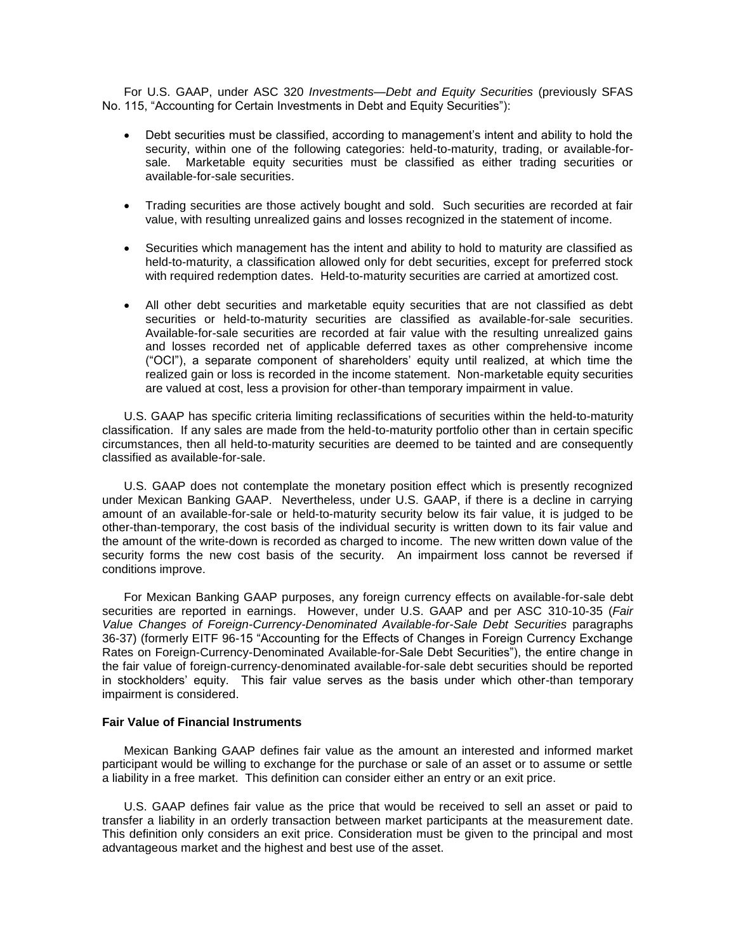For U.S. GAAP, under ASC 320 *Investments—Debt and Equity Securities* (previously SFAS No. 115, "Accounting for Certain Investments in Debt and Equity Securities"):

- Debt securities must be classified, according to management's intent and ability to hold the security, within one of the following categories: held-to-maturity, trading, or available-forsale. Marketable equity securities must be classified as either trading securities or available-for-sale securities.
- Trading securities are those actively bought and sold. Such securities are recorded at fair value, with resulting unrealized gains and losses recognized in the statement of income.
- Securities which management has the intent and ability to hold to maturity are classified as held-to-maturity, a classification allowed only for debt securities, except for preferred stock with required redemption dates. Held-to-maturity securities are carried at amortized cost.
- All other debt securities and marketable equity securities that are not classified as debt securities or held-to-maturity securities are classified as available-for-sale securities. Available-for-sale securities are recorded at fair value with the resulting unrealized gains and losses recorded net of applicable deferred taxes as other comprehensive income ("OCI"), a separate component of shareholders' equity until realized, at which time the realized gain or loss is recorded in the income statement. Non-marketable equity securities are valued at cost, less a provision for other-than temporary impairment in value.

U.S. GAAP has specific criteria limiting reclassifications of securities within the held-to-maturity classification. If any sales are made from the held-to-maturity portfolio other than in certain specific circumstances, then all held-to-maturity securities are deemed to be tainted and are consequently classified as available-for-sale.

U.S. GAAP does not contemplate the monetary position effect which is presently recognized under Mexican Banking GAAP. Nevertheless, under U.S. GAAP, if there is a decline in carrying amount of an available-for-sale or held-to-maturity security below its fair value, it is judged to be other-than-temporary, the cost basis of the individual security is written down to its fair value and the amount of the write-down is recorded as charged to income. The new written down value of the security forms the new cost basis of the security. An impairment loss cannot be reversed if conditions improve.

For Mexican Banking GAAP purposes, any foreign currency effects on available-for-sale debt securities are reported in earnings. However, under U.S. GAAP and per ASC 310-10-35 (*Fair*  Value Changes of Foreign-Currency-Denominated Available-for-Sale Debt Securities paragraphs 36-37) (formerly EITF 96-15 "Accounting for the Effects of Changes in Foreign Currency Exchange Rates on Foreign-Currency-Denominated Available-for-Sale Debt Securities"), the entire change in the fair value of foreign-currency-denominated available-for-sale debt securities should be reported in stockholders' equity. This fair value serves as the basis under which other-than temporary impairment is considered.

## **Fair Value of Financial Instruments**

Mexican Banking GAAP defines fair value as the amount an interested and informed market participant would be willing to exchange for the purchase or sale of an asset or to assume or settle a liability in a free market. This definition can consider either an entry or an exit price.

U.S. GAAP defines fair value as the price that would be received to sell an asset or paid to transfer a liability in an orderly transaction between market participants at the measurement date. This definition only considers an exit price. Consideration must be given to the principal and most advantageous market and the highest and best use of the asset.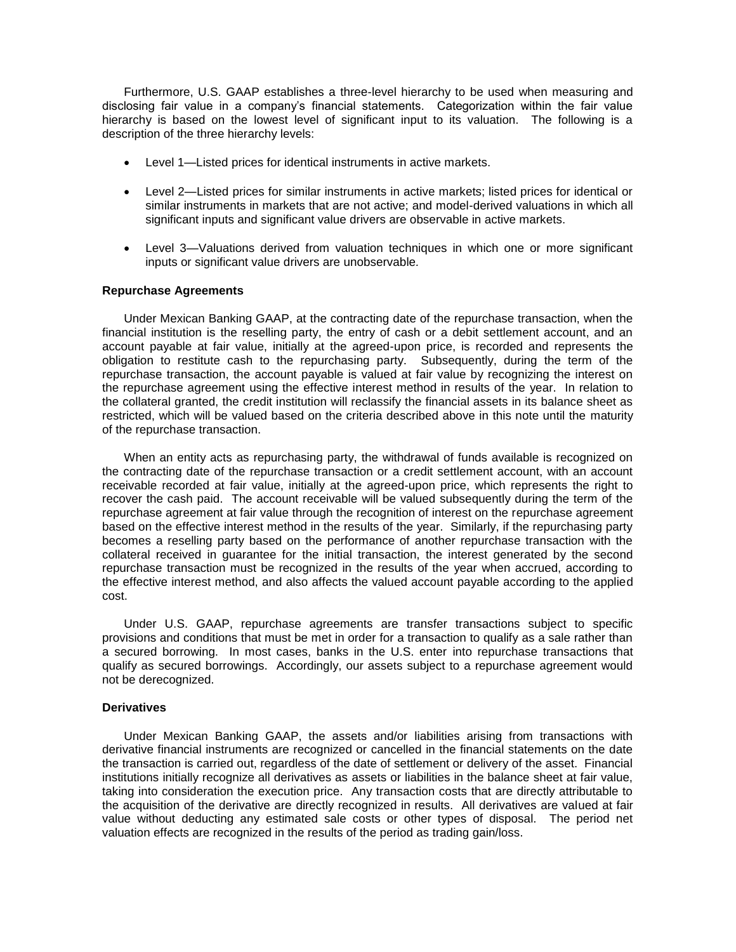Furthermore, U.S. GAAP establishes a three-level hierarchy to be used when measuring and disclosing fair value in a company's financial statements. Categorization within the fair value hierarchy is based on the lowest level of significant input to its valuation. The following is a description of the three hierarchy levels:

- Level 1—Listed prices for identical instruments in active markets.
- Level 2—Listed prices for similar instruments in active markets; listed prices for identical or similar instruments in markets that are not active; and model-derived valuations in which all significant inputs and significant value drivers are observable in active markets.
- Level 3—Valuations derived from valuation techniques in which one or more significant inputs or significant value drivers are unobservable*.*

### **Repurchase Agreements**

Under Mexican Banking GAAP, at the contracting date of the repurchase transaction, when the financial institution is the reselling party, the entry of cash or a debit settlement account, and an account payable at fair value, initially at the agreed-upon price, is recorded and represents the obligation to restitute cash to the repurchasing party. Subsequently, during the term of the repurchase transaction, the account payable is valued at fair value by recognizing the interest on the repurchase agreement using the effective interest method in results of the year. In relation to the collateral granted, the credit institution will reclassify the financial assets in its balance sheet as restricted, which will be valued based on the criteria described above in this note until the maturity of the repurchase transaction.

When an entity acts as repurchasing party, the withdrawal of funds available is recognized on the contracting date of the repurchase transaction or a credit settlement account, with an account receivable recorded at fair value, initially at the agreed-upon price, which represents the right to recover the cash paid. The account receivable will be valued subsequently during the term of the repurchase agreement at fair value through the recognition of interest on the repurchase agreement based on the effective interest method in the results of the year. Similarly, if the repurchasing party becomes a reselling party based on the performance of another repurchase transaction with the collateral received in guarantee for the initial transaction, the interest generated by the second repurchase transaction must be recognized in the results of the year when accrued, according to the effective interest method, and also affects the valued account payable according to the applied cost.

Under U.S. GAAP, repurchase agreements are transfer transactions subject to specific provisions and conditions that must be met in order for a transaction to qualify as a sale rather than a secured borrowing. In most cases, banks in the U.S. enter into repurchase transactions that qualify as secured borrowings. Accordingly, our assets subject to a repurchase agreement would not be derecognized.

### **Derivatives**

Under Mexican Banking GAAP, the assets and/or liabilities arising from transactions with derivative financial instruments are recognized or cancelled in the financial statements on the date the transaction is carried out, regardless of the date of settlement or delivery of the asset. Financial institutions initially recognize all derivatives as assets or liabilities in the balance sheet at fair value, taking into consideration the execution price. Any transaction costs that are directly attributable to the acquisition of the derivative are directly recognized in results. All derivatives are valued at fair value without deducting any estimated sale costs or other types of disposal. The period net valuation effects are recognized in the results of the period as trading gain/loss.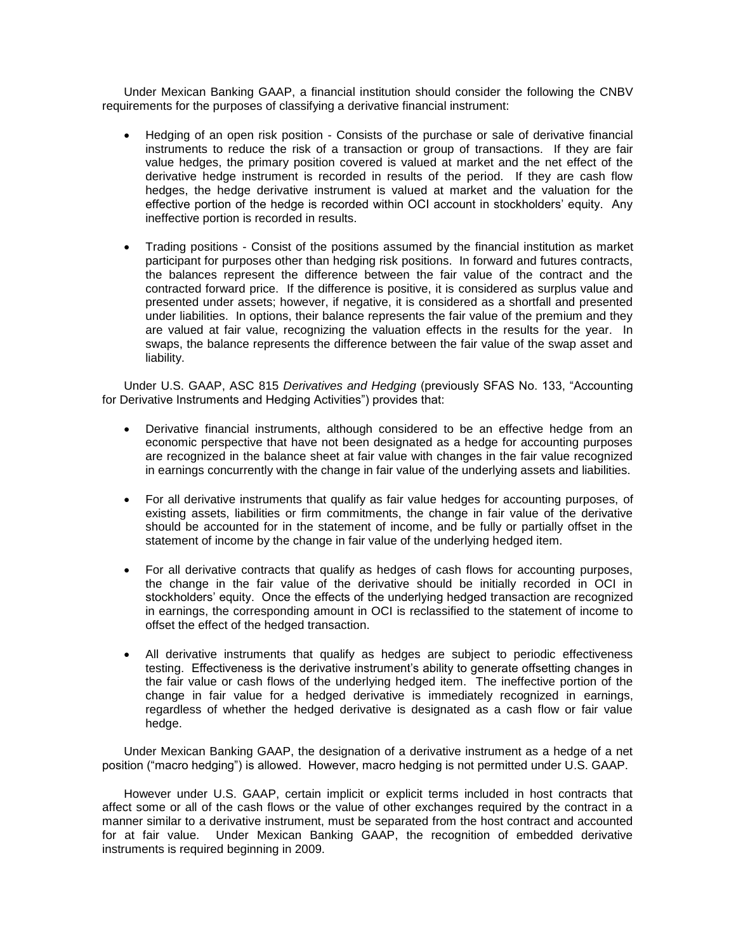Under Mexican Banking GAAP, a financial institution should consider the following the CNBV requirements for the purposes of classifying a derivative financial instrument:

- Hedging of an open risk position Consists of the purchase or sale of derivative financial instruments to reduce the risk of a transaction or group of transactions. If they are fair value hedges, the primary position covered is valued at market and the net effect of the derivative hedge instrument is recorded in results of the period. If they are cash flow hedges, the hedge derivative instrument is valued at market and the valuation for the effective portion of the hedge is recorded within OCI account in stockholders' equity. Any ineffective portion is recorded in results.
- Trading positions Consist of the positions assumed by the financial institution as market participant for purposes other than hedging risk positions. In forward and futures contracts, the balances represent the difference between the fair value of the contract and the contracted forward price. If the difference is positive, it is considered as surplus value and presented under assets; however, if negative, it is considered as a shortfall and presented under liabilities. In options, their balance represents the fair value of the premium and they are valued at fair value, recognizing the valuation effects in the results for the year. In swaps, the balance represents the difference between the fair value of the swap asset and liability.

Under U.S. GAAP, ASC 815 *Derivatives and Hedging* (previously SFAS No. 133, "Accounting for Derivative Instruments and Hedging Activities") provides that:

- Derivative financial instruments, although considered to be an effective hedge from an economic perspective that have not been designated as a hedge for accounting purposes are recognized in the balance sheet at fair value with changes in the fair value recognized in earnings concurrently with the change in fair value of the underlying assets and liabilities.
- For all derivative instruments that qualify as fair value hedges for accounting purposes, of existing assets, liabilities or firm commitments, the change in fair value of the derivative should be accounted for in the statement of income, and be fully or partially offset in the statement of income by the change in fair value of the underlying hedged item.
- For all derivative contracts that qualify as hedges of cash flows for accounting purposes, the change in the fair value of the derivative should be initially recorded in OCI in stockholders' equity. Once the effects of the underlying hedged transaction are recognized in earnings, the corresponding amount in OCI is reclassified to the statement of income to offset the effect of the hedged transaction.
- All derivative instruments that qualify as hedges are subject to periodic effectiveness testing. Effectiveness is the derivative instrument's ability to generate offsetting changes in the fair value or cash flows of the underlying hedged item. The ineffective portion of the change in fair value for a hedged derivative is immediately recognized in earnings, regardless of whether the hedged derivative is designated as a cash flow or fair value hedge.

Under Mexican Banking GAAP, the designation of a derivative instrument as a hedge of a net position ("macro hedging") is allowed. However, macro hedging is not permitted under U.S. GAAP.

However under U.S. GAAP, certain implicit or explicit terms included in host contracts that affect some or all of the cash flows or the value of other exchanges required by the contract in a manner similar to a derivative instrument, must be separated from the host contract and accounted for at fair value. Under Mexican Banking GAAP, the recognition of embedded derivative instruments is required beginning in 2009.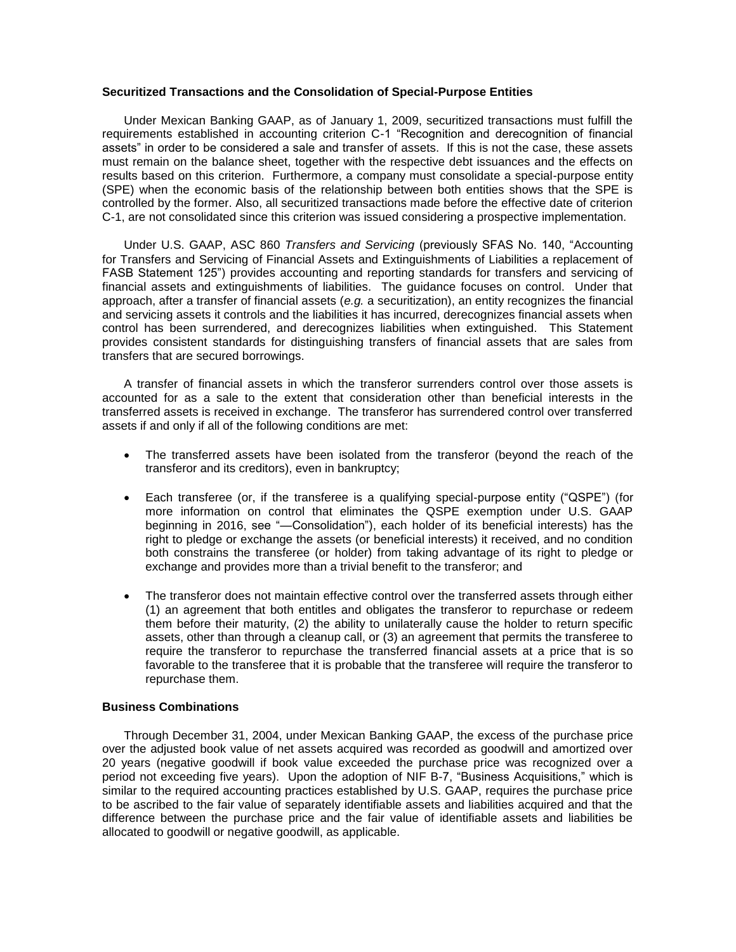### **Securitized Transactions and the Consolidation of Special-Purpose Entities**

Under Mexican Banking GAAP, as of January 1, 2009, securitized transactions must fulfill the requirements established in accounting criterion C-1 "Recognition and derecognition of financial assets" in order to be considered a sale and transfer of assets. If this is not the case, these assets must remain on the balance sheet, together with the respective debt issuances and the effects on results based on this criterion. Furthermore, a company must consolidate a special-purpose entity (SPE) when the economic basis of the relationship between both entities shows that the SPE is controlled by the former. Also, all securitized transactions made before the effective date of criterion C-1, are not consolidated since this criterion was issued considering a prospective implementation.

Under U.S. GAAP, ASC 860 *Transfers and Servicing* (previously SFAS No. 140, "Accounting for Transfers and Servicing of Financial Assets and Extinguishments of Liabilities a replacement of FASB Statement 125") provides accounting and reporting standards for transfers and servicing of financial assets and extinguishments of liabilities. The guidance focuses on control. Under that approach, after a transfer of financial assets (*e.g.* a securitization), an entity recognizes the financial and servicing assets it controls and the liabilities it has incurred, derecognizes financial assets when control has been surrendered, and derecognizes liabilities when extinguished. This Statement provides consistent standards for distinguishing transfers of financial assets that are sales from transfers that are secured borrowings.

A transfer of financial assets in which the transferor surrenders control over those assets is accounted for as a sale to the extent that consideration other than beneficial interests in the transferred assets is received in exchange. The transferor has surrendered control over transferred assets if and only if all of the following conditions are met:

- The transferred assets have been isolated from the transferor (beyond the reach of the transferor and its creditors), even in bankruptcy;
- Each transferee (or, if the transferee is a qualifying special-purpose entity ("QSPE") (for more information on control that eliminates the QSPE exemption under U.S. GAAP beginning in 2016, see "—Consolidation"), each holder of its beneficial interests) has the right to pledge or exchange the assets (or beneficial interests) it received, and no condition both constrains the transferee (or holder) from taking advantage of its right to pledge or exchange and provides more than a trivial benefit to the transferor; and
- The transferor does not maintain effective control over the transferred assets through either (1) an agreement that both entitles and obligates the transferor to repurchase or redeem them before their maturity, (2) the ability to unilaterally cause the holder to return specific assets, other than through a cleanup call, or (3) an agreement that permits the transferee to require the transferor to repurchase the transferred financial assets at a price that is so favorable to the transferee that it is probable that the transferee will require the transferor to repurchase them.

# **Business Combinations**

Through December 31, 2004, under Mexican Banking GAAP, the excess of the purchase price over the adjusted book value of net assets acquired was recorded as goodwill and amortized over 20 years (negative goodwill if book value exceeded the purchase price was recognized over a period not exceeding five years). Upon the adoption of NIF B-7, "Business Acquisitions," which is similar to the required accounting practices established by U.S. GAAP, requires the purchase price to be ascribed to the fair value of separately identifiable assets and liabilities acquired and that the difference between the purchase price and the fair value of identifiable assets and liabilities be allocated to goodwill or negative goodwill, as applicable.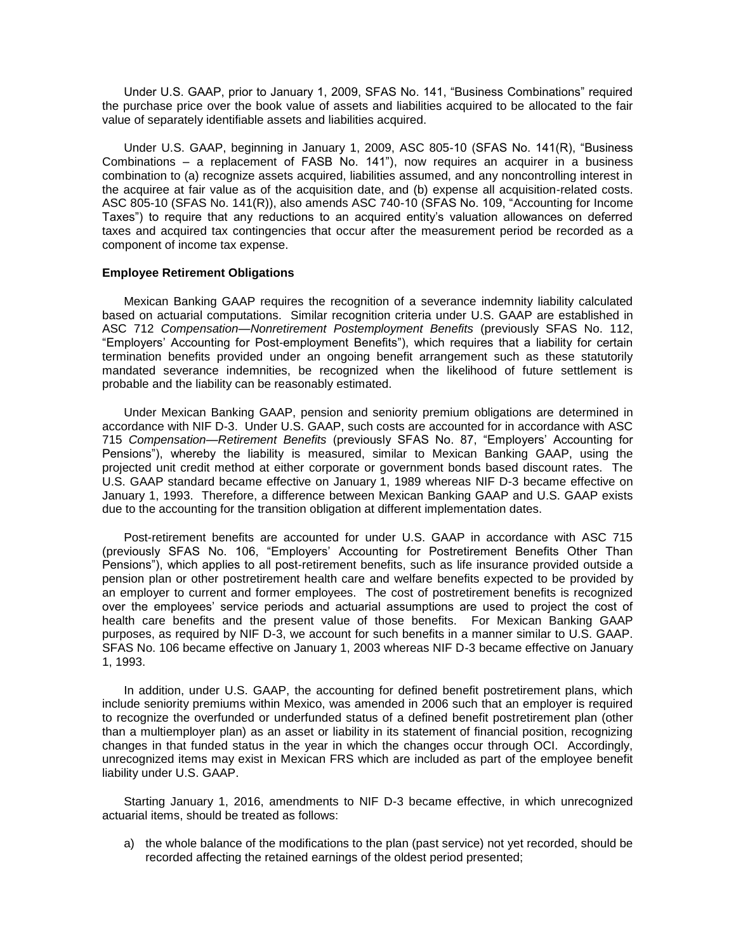Under U.S. GAAP, prior to January 1, 2009, SFAS No. 141, "Business Combinations" required the purchase price over the book value of assets and liabilities acquired to be allocated to the fair value of separately identifiable assets and liabilities acquired.

Under U.S. GAAP, beginning in January 1, 2009, ASC 805-10 (SFAS No. 141(R), "Business Combinations – a replacement of FASB No. 141"), now requires an acquirer in a business combination to (a) recognize assets acquired, liabilities assumed, and any noncontrolling interest in the acquiree at fair value as of the acquisition date, and (b) expense all acquisition-related costs. ASC 805-10 (SFAS No. 141(R)), also amends ASC 740-10 (SFAS No. 109, "Accounting for Income Taxes") to require that any reductions to an acquired entity's valuation allowances on deferred taxes and acquired tax contingencies that occur after the measurement period be recorded as a component of income tax expense.

### **Employee Retirement Obligations**

Mexican Banking GAAP requires the recognition of a severance indemnity liability calculated based on actuarial computations. Similar recognition criteria under U.S. GAAP are established in ASC 712 *Compensation—Nonretirement Postemployment Benefits* (previously SFAS No. 112, "Employers' Accounting for Post-employment Benefits"), which requires that a liability for certain termination benefits provided under an ongoing benefit arrangement such as these statutorily mandated severance indemnities, be recognized when the likelihood of future settlement is probable and the liability can be reasonably estimated.

Under Mexican Banking GAAP, pension and seniority premium obligations are determined in accordance with NIF D-3. Under U.S. GAAP, such costs are accounted for in accordance with ASC 715 *Compensation—Retirement Benefits* (previously SFAS No. 87, "Employers' Accounting for Pensions"), whereby the liability is measured, similar to Mexican Banking GAAP, using the projected unit credit method at either corporate or government bonds based discount rates. The U.S. GAAP standard became effective on January 1, 1989 whereas NIF D-3 became effective on January 1, 1993. Therefore, a difference between Mexican Banking GAAP and U.S. GAAP exists due to the accounting for the transition obligation at different implementation dates.

Post-retirement benefits are accounted for under U.S. GAAP in accordance with ASC 715 (previously SFAS No. 106, "Employers' Accounting for Postretirement Benefits Other Than Pensions"), which applies to all post-retirement benefits, such as life insurance provided outside a pension plan or other postretirement health care and welfare benefits expected to be provided by an employer to current and former employees. The cost of postretirement benefits is recognized over the employees' service periods and actuarial assumptions are used to project the cost of health care benefits and the present value of those benefits. For Mexican Banking GAAP purposes, as required by NIF D-3, we account for such benefits in a manner similar to U.S. GAAP. SFAS No. 106 became effective on January 1, 2003 whereas NIF D-3 became effective on January 1, 1993.

In addition, under U.S. GAAP, the accounting for defined benefit postretirement plans, which include seniority premiums within Mexico, was amended in 2006 such that an employer is required to recognize the overfunded or underfunded status of a defined benefit postretirement plan (other than a multiemployer plan) as an asset or liability in its statement of financial position, recognizing changes in that funded status in the year in which the changes occur through OCI. Accordingly, unrecognized items may exist in Mexican FRS which are included as part of the employee benefit liability under U.S. GAAP.

Starting January 1, 2016, amendments to NIF D-3 became effective, in which unrecognized actuarial items, should be treated as follows:

a) the whole balance of the modifications to the plan (past service) not yet recorded, should be recorded affecting the retained earnings of the oldest period presented;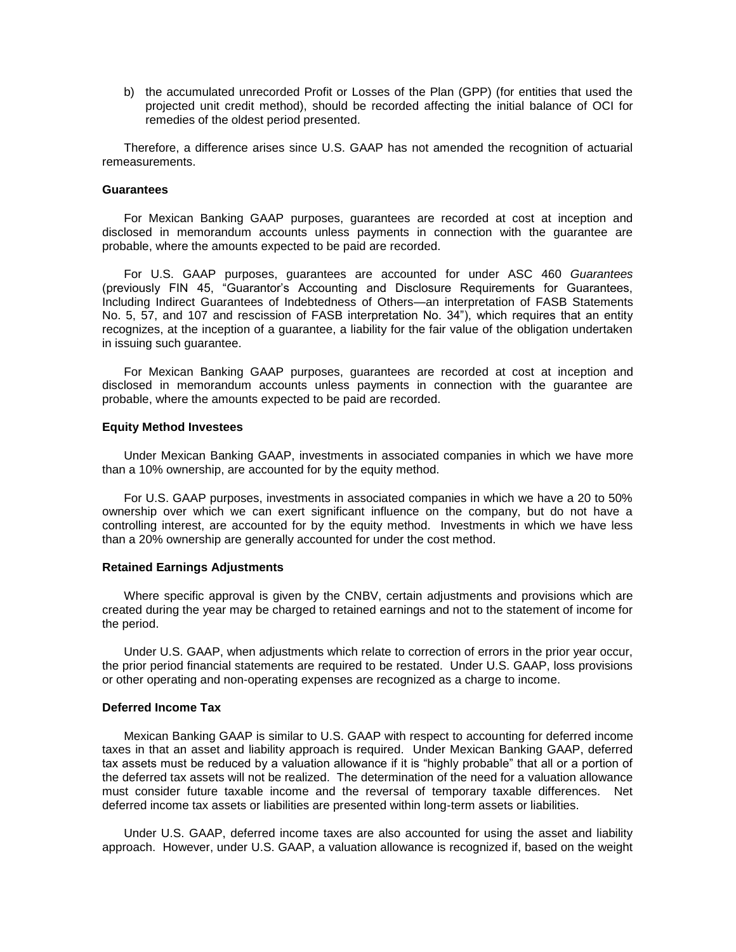b) the accumulated unrecorded Profit or Losses of the Plan (GPP) (for entities that used the projected unit credit method), should be recorded affecting the initial balance of OCI for remedies of the oldest period presented.

Therefore, a difference arises since U.S. GAAP has not amended the recognition of actuarial remeasurements.

#### **Guarantees**

For Mexican Banking GAAP purposes, guarantees are recorded at cost at inception and disclosed in memorandum accounts unless payments in connection with the guarantee are probable, where the amounts expected to be paid are recorded.

For U.S. GAAP purposes, guarantees are accounted for under ASC 460 *Guarantees*  (previously FIN 45, "Guarantor's Accounting and Disclosure Requirements for Guarantees, Including Indirect Guarantees of Indebtedness of Others—an interpretation of FASB Statements No. 5, 57, and 107 and rescission of FASB interpretation No. 34"), which requires that an entity recognizes, at the inception of a guarantee, a liability for the fair value of the obligation undertaken in issuing such guarantee.

For Mexican Banking GAAP purposes, guarantees are recorded at cost at inception and disclosed in memorandum accounts unless payments in connection with the guarantee are probable, where the amounts expected to be paid are recorded.

#### **Equity Method Investees**

Under Mexican Banking GAAP, investments in associated companies in which we have more than a 10% ownership, are accounted for by the equity method.

For U.S. GAAP purposes, investments in associated companies in which we have a 20 to 50% ownership over which we can exert significant influence on the company, but do not have a controlling interest, are accounted for by the equity method. Investments in which we have less than a 20% ownership are generally accounted for under the cost method.

### **Retained Earnings Adjustments**

Where specific approval is given by the CNBV, certain adjustments and provisions which are created during the year may be charged to retained earnings and not to the statement of income for the period.

Under U.S. GAAP, when adjustments which relate to correction of errors in the prior year occur, the prior period financial statements are required to be restated. Under U.S. GAAP, loss provisions or other operating and non-operating expenses are recognized as a charge to income.

### **Deferred Income Tax**

Mexican Banking GAAP is similar to U.S. GAAP with respect to accounting for deferred income taxes in that an asset and liability approach is required. Under Mexican Banking GAAP, deferred tax assets must be reduced by a valuation allowance if it is "highly probable" that all or a portion of the deferred tax assets will not be realized. The determination of the need for a valuation allowance must consider future taxable income and the reversal of temporary taxable differences. Net deferred income tax assets or liabilities are presented within long-term assets or liabilities.

Under U.S. GAAP, deferred income taxes are also accounted for using the asset and liability approach. However, under U.S. GAAP, a valuation allowance is recognized if, based on the weight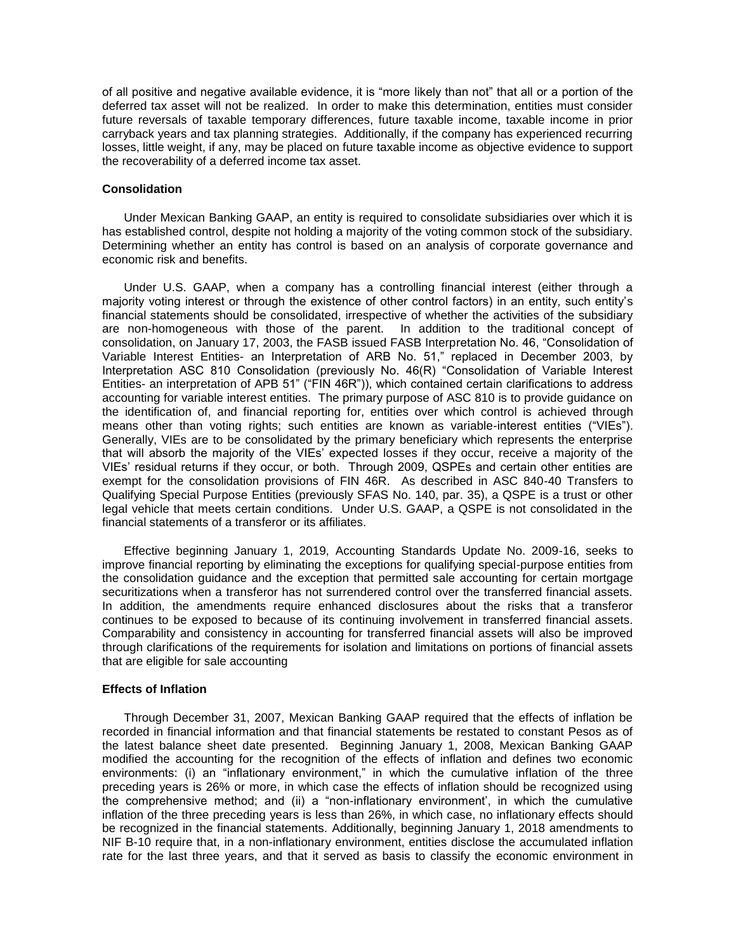of all positive and negative available evidence, it is "more likely than not" that all or a portion of the deferred tax asset will not be realized. In order to make this determination, entities must consider future reversals of taxable temporary differences, future taxable income, taxable income in prior carryback years and tax planning strategies. Additionally, if the company has experienced recurring losses, little weight, if any, may be placed on future taxable income as objective evidence to support the recoverability of a deferred income tax asset.

## **Consolidation**

Under Mexican Banking GAAP, an entity is required to consolidate subsidiaries over which it is has established control, despite not holding a majority of the voting common stock of the subsidiary. Determining whether an entity has control is based on an analysis of corporate governance and economic risk and benefits.

Under U.S. GAAP, when a company has a controlling financial interest (either through a majority voting interest or through the existence of other control factors) in an entity, such entity's financial statements should be consolidated, irrespective of whether the activities of the subsidiary are non-homogeneous with those of the parent. In addition to the traditional concept of consolidation, on January 17, 2003, the FASB issued FASB Interpretation No. 46, "Consolidation of Variable Interest Entities- an Interpretation of ARB No. 51," replaced in December 2003, by Interpretation ASC 810 Consolidation (previously No. 46(R) "Consolidation of Variable Interest Entities- an interpretation of APB 51" ("FIN 46R")), which contained certain clarifications to address accounting for variable interest entities. The primary purpose of ASC 810 is to provide guidance on the identification of, and financial reporting for, entities over which control is achieved through means other than voting rights; such entities are known as variable-interest entities ("VIEs"). Generally, VIEs are to be consolidated by the primary beneficiary which represents the enterprise that will absorb the majority of the VIEs' expected losses if they occur, receive a majority of the VIEs' residual returns if they occur, or both. Through 2009, QSPEs and certain other entities are exempt for the consolidation provisions of FIN 46R. As described in ASC 840-40 Transfers to Qualifying Special Purpose Entities (previously SFAS No. 140, par. 35), a QSPE is a trust or other legal vehicle that meets certain conditions. Under U.S. GAAP, a QSPE is not consolidated in the financial statements of a transferor or its affiliates.

Effective beginning January 1, 2019, Accounting Standards Update No. 2009-16, seeks to improve financial reporting by eliminating the exceptions for qualifying special-purpose entities from the consolidation guidance and the exception that permitted sale accounting for certain mortgage securitizations when a transferor has not surrendered control over the transferred financial assets. In addition, the amendments require enhanced disclosures about the risks that a transferor continues to be exposed to because of its continuing involvement in transferred financial assets. Comparability and consistency in accounting for transferred financial assets will also be improved through clarifications of the requirements for isolation and limitations on portions of financial assets that are eligible for sale accounting

# **Effects of Inflation**

Through December 31, 2007, Mexican Banking GAAP required that the effects of inflation be recorded in financial information and that financial statements be restated to constant Pesos as of the latest balance sheet date presented. Beginning January 1, 2008, Mexican Banking GAAP modified the accounting for the recognition of the effects of inflation and defines two economic environments: (i) an "inflationary environment," in which the cumulative inflation of the three preceding years is 26% or more, in which case the effects of inflation should be recognized using the comprehensive method; and (ii) a "non-inflationary environment', in which the cumulative inflation of the three preceding years is less than 26%, in which case, no inflationary effects should be recognized in the financial statements. Additionally, beginning January 1, 2018 amendments to NIF B-10 require that, in a non-inflationary environment, entities disclose the accumulated inflation rate for the last three years, and that it served as basis to classify the economic environment in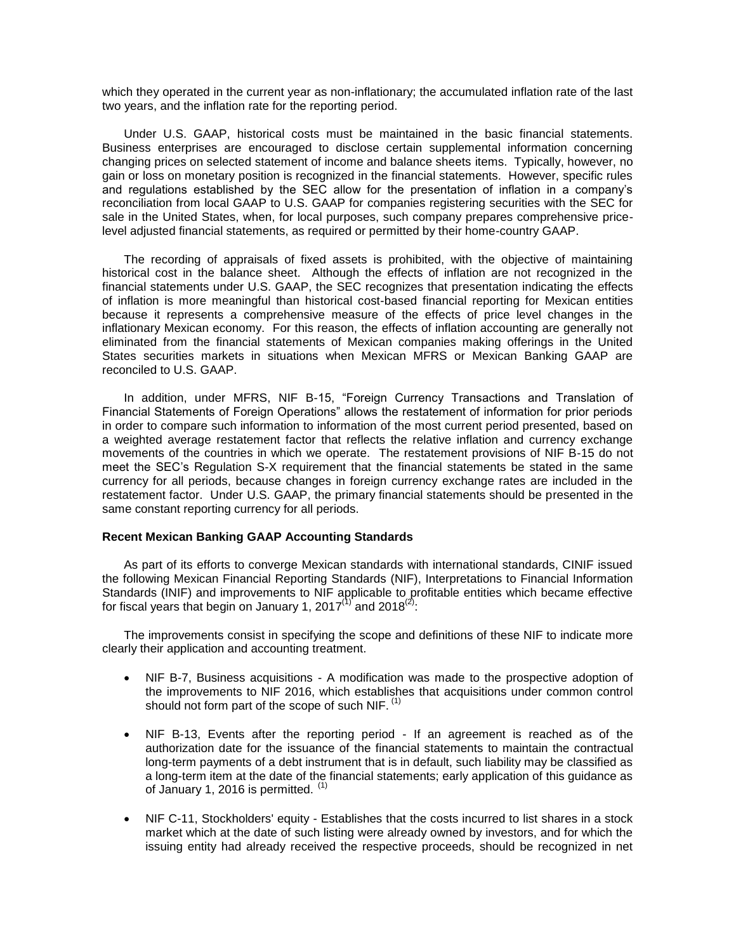which they operated in the current year as non-inflationary; the accumulated inflation rate of the last two years, and the inflation rate for the reporting period.

Under U.S. GAAP, historical costs must be maintained in the basic financial statements. Business enterprises are encouraged to disclose certain supplemental information concerning changing prices on selected statement of income and balance sheets items. Typically, however, no gain or loss on monetary position is recognized in the financial statements. However, specific rules and regulations established by the SEC allow for the presentation of inflation in a company's reconciliation from local GAAP to U.S. GAAP for companies registering securities with the SEC for sale in the United States, when, for local purposes, such company prepares comprehensive pricelevel adjusted financial statements, as required or permitted by their home-country GAAP.

The recording of appraisals of fixed assets is prohibited, with the objective of maintaining historical cost in the balance sheet. Although the effects of inflation are not recognized in the financial statements under U.S. GAAP, the SEC recognizes that presentation indicating the effects of inflation is more meaningful than historical cost-based financial reporting for Mexican entities because it represents a comprehensive measure of the effects of price level changes in the inflationary Mexican economy. For this reason, the effects of inflation accounting are generally not eliminated from the financial statements of Mexican companies making offerings in the United States securities markets in situations when Mexican MFRS or Mexican Banking GAAP are reconciled to U.S. GAAP.

In addition, under MFRS, NIF B-15, "Foreign Currency Transactions and Translation of Financial Statements of Foreign Operations" allows the restatement of information for prior periods in order to compare such information to information of the most current period presented, based on a weighted average restatement factor that reflects the relative inflation and currency exchange movements of the countries in which we operate. The restatement provisions of NIF B-15 do not meet the SEC's Regulation S-X requirement that the financial statements be stated in the same currency for all periods, because changes in foreign currency exchange rates are included in the restatement factor. Under U.S. GAAP, the primary financial statements should be presented in the same constant reporting currency for all periods.

# **Recent Mexican Banking GAAP Accounting Standards**

As part of its efforts to converge Mexican standards with international standards, CINIF issued the following Mexican Financial Reporting Standards (NIF), Interpretations to Financial Information Standards (INIF) and improvements to NIF applicable to profitable entities which became effective for fiscal years that begin on January 1, 2017 $^{(1)}$  and 2018 $^{(2)}$ .

The improvements consist in specifying the scope and definitions of these NIF to indicate more clearly their application and accounting treatment.

- NIF B-7, Business acquisitions A modification was made to the prospective adoption of the improvements to NIF 2016, which establishes that acquisitions under common control should not form part of the scope of such NIF.  $<sup>(1)</sup>$ </sup>
- NIF B-13, Events after the reporting period If an agreement is reached as of the authorization date for the issuance of the financial statements to maintain the contractual long-term payments of a debt instrument that is in default, such liability may be classified as a long-term item at the date of the financial statements; early application of this guidance as of January 1, 2016 is permitted. (1)
- NIF C-11, Stockholders' equity Establishes that the costs incurred to list shares in a stock market which at the date of such listing were already owned by investors, and for which the issuing entity had already received the respective proceeds, should be recognized in net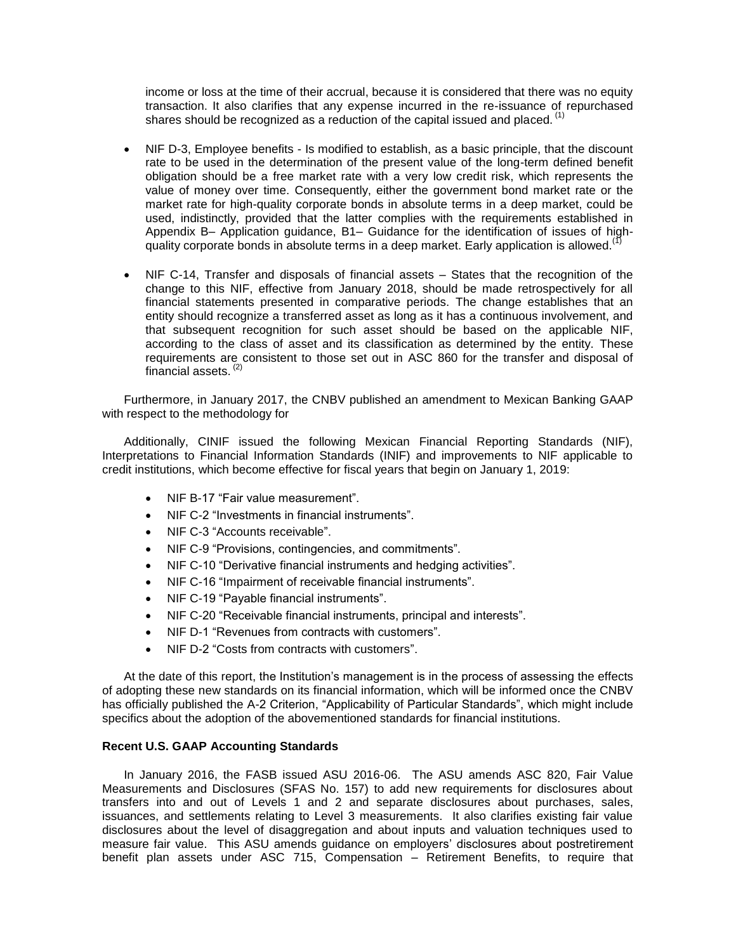income or loss at the time of their accrual, because it is considered that there was no equity transaction. It also clarifies that any expense incurred in the re-issuance of repurchased shares should be recognized as a reduction of the capital issued and placed.  $<sup>(1)</sup>$ </sup>

- NIF D-3, Employee benefits Is modified to establish, as a basic principle, that the discount rate to be used in the determination of the present value of the long-term defined benefit obligation should be a free market rate with a very low credit risk, which represents the value of money over time. Consequently, either the government bond market rate or the market rate for high-quality corporate bonds in absolute terms in a deep market, could be used, indistinctly, provided that the latter complies with the requirements established in Appendix B– Application guidance, B1– Guidance for the identification of issues of highquality corporate bonds in absolute terms in a deep market. Early application is allowed.<sup> $(1)$ </sup>
- NIF C-14, Transfer and disposals of financial assets States that the recognition of the change to this NIF, effective from January 2018, should be made retrospectively for all financial statements presented in comparative periods. The change establishes that an entity should recognize a transferred asset as long as it has a continuous involvement, and that subsequent recognition for such asset should be based on the applicable NIF, according to the class of asset and its classification as determined by the entity. These requirements are consistent to those set out in ASC 860 for the transfer and disposal of financial assets. (2)

Furthermore, in January 2017, the CNBV published an amendment to Mexican Banking GAAP with respect to the methodology for

Additionally, CINIF issued the following Mexican Financial Reporting Standards (NIF), Interpretations to Financial Information Standards (INIF) and improvements to NIF applicable to credit institutions, which become effective for fiscal years that begin on January 1, 2019:

- NIF B-17 "Fair value measurement".
- NIF C-2 "Investments in financial instruments".
- NIF C-3 "Accounts receivable".
- NIF C-9 "Provisions, contingencies, and commitments".
- NIF C-10 "Derivative financial instruments and hedging activities".
- NIF C-16 "Impairment of receivable financial instruments".
- NIF C-19 "Payable financial instruments".
- NIF C-20 "Receivable financial instruments, principal and interests".
- NIF D-1 "Revenues from contracts with customers".
- NIF D-2 "Costs from contracts with customers".

At the date of this report, the Institution's management is in the process of assessing the effects of adopting these new standards on its financial information, which will be informed once the CNBV has officially published the A-2 Criterion, "Applicability of Particular Standards", which might include specifics about the adoption of the abovementioned standards for financial institutions.

# **Recent U.S. GAAP Accounting Standards**

In January 2016, the FASB issued ASU 2016-06. The ASU amends ASC 820, Fair Value Measurements and Disclosures (SFAS No. 157) to add new requirements for disclosures about transfers into and out of Levels 1 and 2 and separate disclosures about purchases, sales, issuances, and settlements relating to Level 3 measurements. It also clarifies existing fair value disclosures about the level of disaggregation and about inputs and valuation techniques used to measure fair value. This ASU amends guidance on employers' disclosures about postretirement benefit plan assets under ASC 715, Compensation – Retirement Benefits, to require that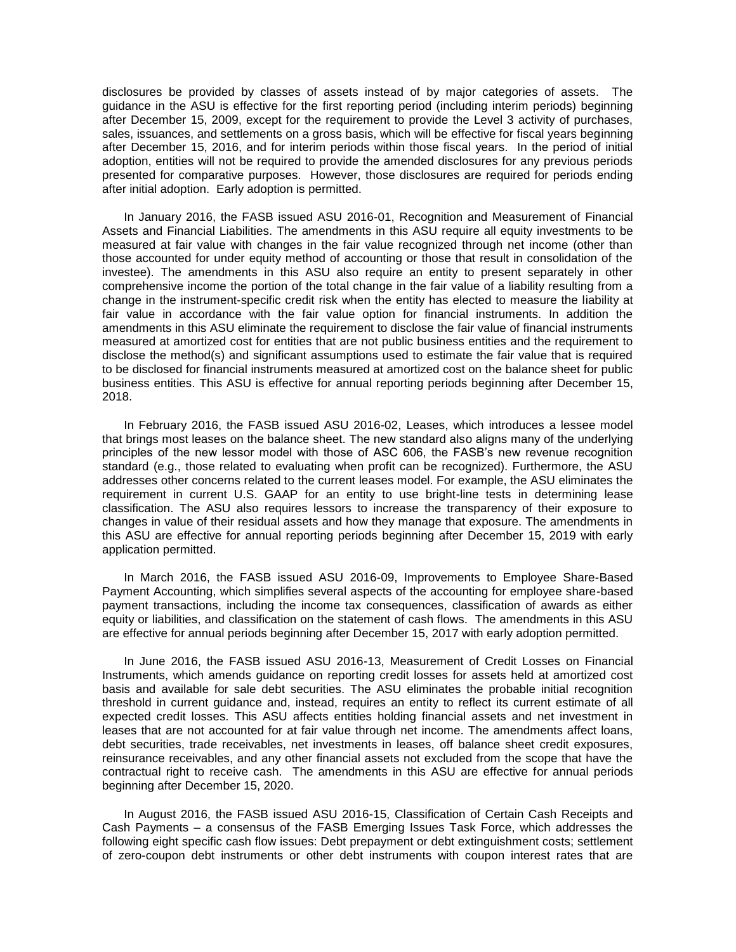disclosures be provided by classes of assets instead of by major categories of assets. The guidance in the ASU is effective for the first reporting period (including interim periods) beginning after December 15, 2009, except for the requirement to provide the Level 3 activity of purchases, sales, issuances, and settlements on a gross basis, which will be effective for fiscal years beginning after December 15, 2016, and for interim periods within those fiscal years. In the period of initial adoption, entities will not be required to provide the amended disclosures for any previous periods presented for comparative purposes. However, those disclosures are required for periods ending after initial adoption. Early adoption is permitted.

In January 2016, the FASB issued ASU 2016-01, Recognition and Measurement of Financial Assets and Financial Liabilities. The amendments in this ASU require all equity investments to be measured at fair value with changes in the fair value recognized through net income (other than those accounted for under equity method of accounting or those that result in consolidation of the investee). The amendments in this ASU also require an entity to present separately in other comprehensive income the portion of the total change in the fair value of a liability resulting from a change in the instrument-specific credit risk when the entity has elected to measure the liability at fair value in accordance with the fair value option for financial instruments. In addition the amendments in this ASU eliminate the requirement to disclose the fair value of financial instruments measured at amortized cost for entities that are not public business entities and the requirement to disclose the method(s) and significant assumptions used to estimate the fair value that is required to be disclosed for financial instruments measured at amortized cost on the balance sheet for public business entities. This ASU is effective for annual reporting periods beginning after December 15, 2018.

In February 2016, the FASB issued ASU 2016-02, Leases, which introduces a lessee model that brings most leases on the balance sheet. The new standard also aligns many of the underlying principles of the new lessor model with those of ASC 606, the FASB's new revenue recognition standard (e.g., those related to evaluating when profit can be recognized). Furthermore, the ASU addresses other concerns related to the current leases model. For example, the ASU eliminates the requirement in current U.S. GAAP for an entity to use bright-line tests in determining lease classification. The ASU also requires lessors to increase the transparency of their exposure to changes in value of their residual assets and how they manage that exposure. The amendments in this ASU are effective for annual reporting periods beginning after December 15, 2019 with early application permitted.

In March 2016, the FASB issued ASU 2016-09, Improvements to Employee Share-Based Payment Accounting, which simplifies several aspects of the accounting for employee share-based payment transactions, including the income tax consequences, classification of awards as either equity or liabilities, and classification on the statement of cash flows. The amendments in this ASU are effective for annual periods beginning after December 15, 2017 with early adoption permitted.

In June 2016, the FASB issued ASU 2016-13, Measurement of Credit Losses on Financial Instruments, which amends guidance on reporting credit losses for assets held at amortized cost basis and available for sale debt securities. The ASU eliminates the probable initial recognition threshold in current guidance and, instead, requires an entity to reflect its current estimate of all expected credit losses. This ASU affects entities holding financial assets and net investment in leases that are not accounted for at fair value through net income. The amendments affect loans, debt securities, trade receivables, net investments in leases, off balance sheet credit exposures, reinsurance receivables, and any other financial assets not excluded from the scope that have the contractual right to receive cash. The amendments in this ASU are effective for annual periods beginning after December 15, 2020.

In August 2016, the FASB issued ASU 2016-15, Classification of Certain Cash Receipts and Cash Payments – a consensus of the FASB Emerging Issues Task Force, which addresses the following eight specific cash flow issues: Debt prepayment or debt extinguishment costs; settlement of zero-coupon debt instruments or other debt instruments with coupon interest rates that are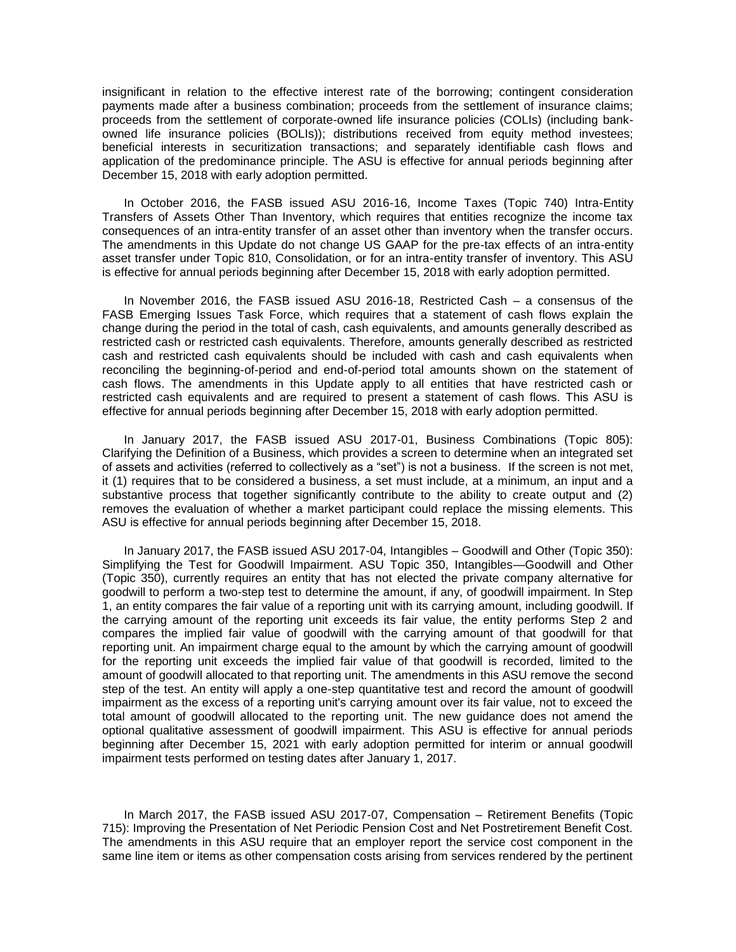insignificant in relation to the effective interest rate of the borrowing; contingent consideration payments made after a business combination; proceeds from the settlement of insurance claims; proceeds from the settlement of corporate-owned life insurance policies (COLIs) (including bankowned life insurance policies (BOLIs)); distributions received from equity method investees; beneficial interests in securitization transactions; and separately identifiable cash flows and application of the predominance principle. The ASU is effective for annual periods beginning after December 15, 2018 with early adoption permitted.

In October 2016, the FASB issued ASU 2016-16, Income Taxes (Topic 740) Intra-Entity Transfers of Assets Other Than Inventory, which requires that entities recognize the income tax consequences of an intra-entity transfer of an asset other than inventory when the transfer occurs. The amendments in this Update do not change US GAAP for the pre-tax effects of an intra-entity asset transfer under Topic 810, Consolidation, or for an intra-entity transfer of inventory. This ASU is effective for annual periods beginning after December 15, 2018 with early adoption permitted.

In November 2016, the FASB issued ASU 2016-18, Restricted Cash – a consensus of the FASB Emerging Issues Task Force, which requires that a statement of cash flows explain the change during the period in the total of cash, cash equivalents, and amounts generally described as restricted cash or restricted cash equivalents. Therefore, amounts generally described as restricted cash and restricted cash equivalents should be included with cash and cash equivalents when reconciling the beginning-of-period and end-of-period total amounts shown on the statement of cash flows. The amendments in this Update apply to all entities that have restricted cash or restricted cash equivalents and are required to present a statement of cash flows. This ASU is effective for annual periods beginning after December 15, 2018 with early adoption permitted.

In January 2017, the FASB issued ASU 2017-01, Business Combinations (Topic 805): Clarifying the Definition of a Business, which provides a screen to determine when an integrated set of assets and activities (referred to collectively as a "set") is not a business. If the screen is not met, it (1) requires that to be considered a business, a set must include, at a minimum, an input and a substantive process that together significantly contribute to the ability to create output and (2) removes the evaluation of whether a market participant could replace the missing elements. This ASU is effective for annual periods beginning after December 15, 2018.

In January 2017, the FASB issued ASU 2017-04, Intangibles – Goodwill and Other (Topic 350): Simplifying the Test for Goodwill Impairment. ASU Topic 350, Intangibles—Goodwill and Other (Topic 350), currently requires an entity that has not elected the private company alternative for goodwill to perform a two-step test to determine the amount, if any, of goodwill impairment. In Step 1, an entity compares the fair value of a reporting unit with its carrying amount, including goodwill. If the carrying amount of the reporting unit exceeds its fair value, the entity performs Step 2 and compares the implied fair value of goodwill with the carrying amount of that goodwill for that reporting unit. An impairment charge equal to the amount by which the carrying amount of goodwill for the reporting unit exceeds the implied fair value of that goodwill is recorded, limited to the amount of goodwill allocated to that reporting unit. The amendments in this ASU remove the second step of the test. An entity will apply a one-step quantitative test and record the amount of goodwill impairment as the excess of a reporting unit's carrying amount over its fair value, not to exceed the total amount of goodwill allocated to the reporting unit. The new guidance does not amend the optional qualitative assessment of goodwill impairment. This ASU is effective for annual periods beginning after December 15, 2021 with early adoption permitted for interim or annual goodwill impairment tests performed on testing dates after January 1, 2017.

In March 2017, the FASB issued ASU 2017-07, Compensation – Retirement Benefits (Topic 715): Improving the Presentation of Net Periodic Pension Cost and Net Postretirement Benefit Cost. The amendments in this ASU require that an employer report the service cost component in the same line item or items as other compensation costs arising from services rendered by the pertinent